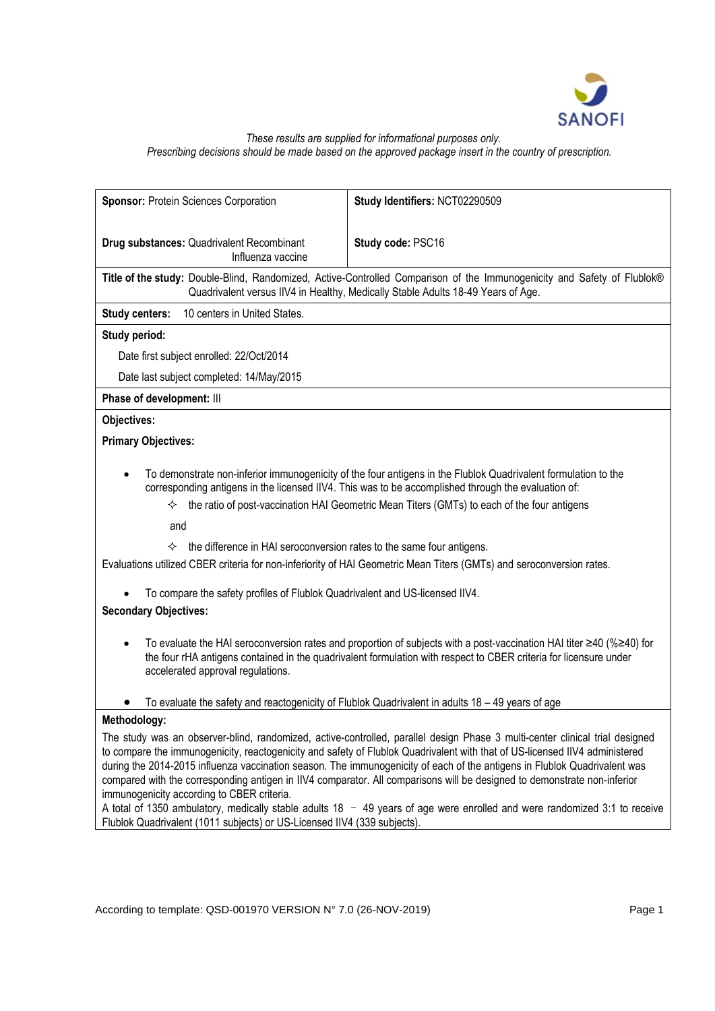

### *These results are supplied for informational purposes only. Prescribing decisions should be made based on the approved package insert in the country of prescription.*

| Sponsor: Protein Sciences Corporation                                                                                                                                                                               | Study Identifiers: NCT02290509                                                                                                                                                                                                                                                                                                                                                                                                                                                                                                                                                                                                                      |
|---------------------------------------------------------------------------------------------------------------------------------------------------------------------------------------------------------------------|-----------------------------------------------------------------------------------------------------------------------------------------------------------------------------------------------------------------------------------------------------------------------------------------------------------------------------------------------------------------------------------------------------------------------------------------------------------------------------------------------------------------------------------------------------------------------------------------------------------------------------------------------------|
| Drug substances: Quadrivalent Recombinant<br>Influenza vaccine                                                                                                                                                      | Study code: PSC16                                                                                                                                                                                                                                                                                                                                                                                                                                                                                                                                                                                                                                   |
|                                                                                                                                                                                                                     | Title of the study: Double-Blind, Randomized, Active-Controlled Comparison of the Immunogenicity and Safety of Flublok®<br>Quadrivalent versus IIV4 in Healthy, Medically Stable Adults 18-49 Years of Age.                                                                                                                                                                                                                                                                                                                                                                                                                                         |
| <b>Study centers:</b><br>10 centers in United States.                                                                                                                                                               |                                                                                                                                                                                                                                                                                                                                                                                                                                                                                                                                                                                                                                                     |
| <b>Study period:</b>                                                                                                                                                                                                |                                                                                                                                                                                                                                                                                                                                                                                                                                                                                                                                                                                                                                                     |
| Date first subject enrolled: 22/Oct/2014                                                                                                                                                                            |                                                                                                                                                                                                                                                                                                                                                                                                                                                                                                                                                                                                                                                     |
| Date last subject completed: 14/May/2015                                                                                                                                                                            |                                                                                                                                                                                                                                                                                                                                                                                                                                                                                                                                                                                                                                                     |
| Phase of development: III                                                                                                                                                                                           |                                                                                                                                                                                                                                                                                                                                                                                                                                                                                                                                                                                                                                                     |
| Objectives:                                                                                                                                                                                                         |                                                                                                                                                                                                                                                                                                                                                                                                                                                                                                                                                                                                                                                     |
| <b>Primary Objectives:</b>                                                                                                                                                                                          |                                                                                                                                                                                                                                                                                                                                                                                                                                                                                                                                                                                                                                                     |
| $\bullet$<br>✧<br>and<br>the difference in HAI seroconversion rates to the same four antigens.<br>✧<br>To compare the safety profiles of Flublok Quadrivalent and US-licensed IIV4.<br><b>Secondary Objectives:</b> | To demonstrate non-inferior immunogenicity of the four antigens in the Flublok Quadrivalent formulation to the<br>corresponding antigens in the licensed IIV4. This was to be accomplished through the evaluation of:<br>the ratio of post-vaccination HAI Geometric Mean Titers (GMTs) to each of the four antigens<br>Evaluations utilized CBER criteria for non-inferiority of HAI Geometric Mean Titers (GMTs) and seroconversion rates.                                                                                                                                                                                                        |
| accelerated approval regulations.                                                                                                                                                                                   | To evaluate the HAI seroconversion rates and proportion of subjects with a post-vaccination HAI titer ≥40 (%≥40) for<br>the four rHA antigens contained in the quadrivalent formulation with respect to CBER criteria for licensure under<br>To evaluate the safety and reactogenicity of Flublok Quadrivalent in adults 18 - 49 years of age                                                                                                                                                                                                                                                                                                       |
| Methodology:                                                                                                                                                                                                        |                                                                                                                                                                                                                                                                                                                                                                                                                                                                                                                                                                                                                                                     |
| immunogenicity according to CBER criteria.                                                                                                                                                                          | The study was an observer-blind, randomized, active-controlled, parallel design Phase 3 multi-center clinical trial designed<br>to compare the immunogenicity, reactogenicity and safety of Flublok Quadrivalent with that of US-licensed IIV4 administered<br>during the 2014-2015 influenza vaccination season. The immunogenicity of each of the antigens in Flublok Quadrivalent was<br>compared with the corresponding antigen in IIV4 comparator. All comparisons will be designed to demonstrate non-inferior<br>A total of 1350 ambulatory, medically stable adults $18 - 49$ years of age were enrolled and were randomized 3:1 to receive |

According to template: QSD-001970 VERSION N° 7.0 (26-NOV-2019) Page 1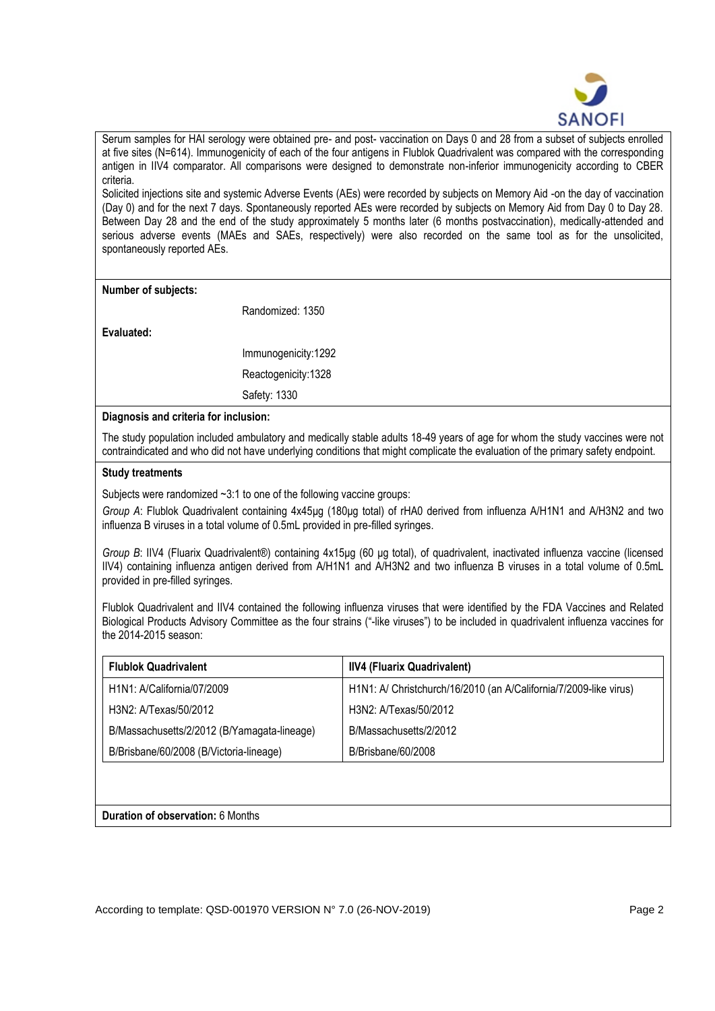

Serum samples for HAI serology were obtained pre- and post- vaccination on Days 0 and 28 from a subset of subjects enrolled at five sites (N=614). Immunogenicity of each of the four antigens in Flublok Quadrivalent was compared with the corresponding antigen in IIV4 comparator. All comparisons were designed to demonstrate non-inferior immunogenicity according to CBER criteria.

Solicited injections site and systemic Adverse Events (AEs) were recorded by subjects on Memory Aid -on the day of vaccination (Day 0) and for the next 7 days. Spontaneously reported AEs were recorded by subjects on Memory Aid from Day 0 to Day 28. Between Day 28 and the end of the study approximately 5 months later (6 months postvaccination), medically-attended and serious adverse events (MAEs and SAEs, respectively) were also recorded on the same tool as for the unsolicited, spontaneously reported AEs.

**Number of subjects:**

Randomized: 1350

**Evaluated:**

Immunogenicity:1292 Reactogenicity:1328 Safety: 1330

**Diagnosis and criteria for inclusion:**

The study population included ambulatory and medically stable adults 18-49 years of age for whom the study vaccines were not contraindicated and who did not have underlying conditions that might complicate the evaluation of the primary safety endpoint.

## **Study treatments**

Subjects were randomized  $\sim 3:1$  to one of the following vaccine groups:

*Group A*: Flublok Quadrivalent containing 4x45μg (180μg total) of rHA0 derived from influenza A/H1N1 and A/H3N2 and two influenza B viruses in a total volume of 0.5mL provided in pre-filled syringes.

*Group B*: IIV4 (Fluarix Quadrivalent®) containing 4x15µg (60 µg total), of quadrivalent, inactivated influenza vaccine (licensed IIV4) containing influenza antigen derived from A/H1N1 and A/H3N2 and two influenza B viruses in a total volume of 0.5mL provided in pre-filled syringes.

Flublok Quadrivalent and IIV4 contained the following influenza viruses that were identified by the FDA Vaccines and Related Biological Products Advisory Committee as the four strains ("-like viruses") to be included in quadrivalent influenza vaccines for the 2014-2015 season:

| <b>Flublok Quadrivalent</b>                 | <b>IIV4 (Fluarix Quadrivalent)</b>                                |
|---------------------------------------------|-------------------------------------------------------------------|
| H1N1: A/California/07/2009                  | H1N1: A/ Christchurch/16/2010 (an A/California/7/2009-like virus) |
| H3N2: A/Texas/50/2012                       | H3N2: A/Texas/50/2012                                             |
| B/Massachusetts/2/2012 (B/Yamagata-lineage) | B/Massachusetts/2/2012                                            |
| B/Brisbane/60/2008 (B/Victoria-lineage)     | B/Brisbane/60/2008                                                |
|                                             |                                                                   |

**Duration of observation:** 6 Months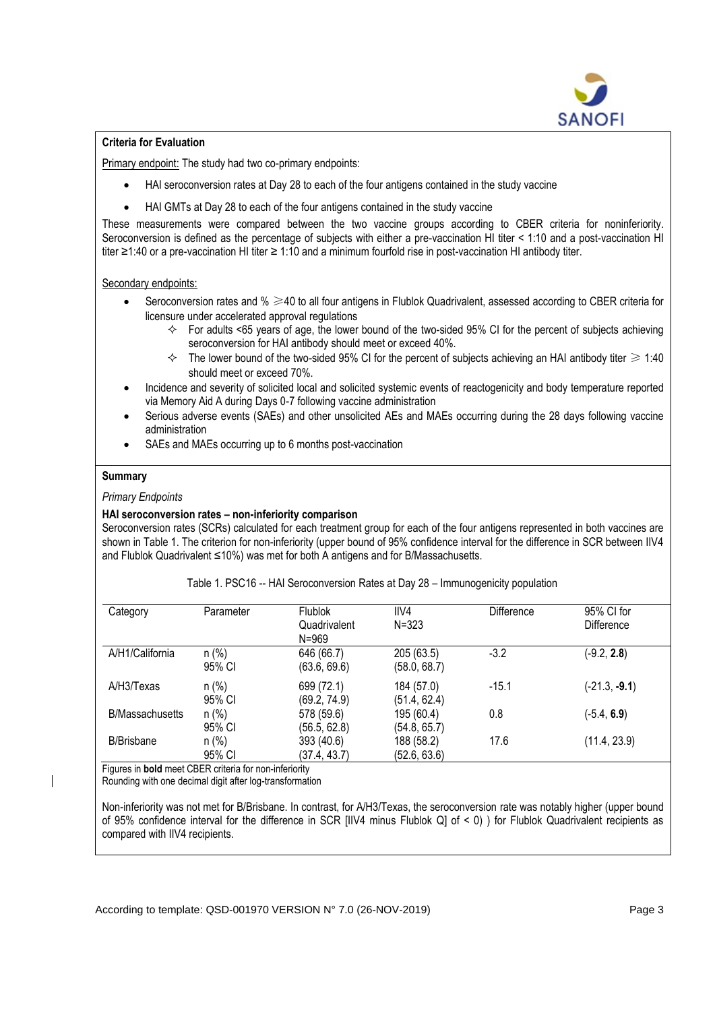

## **Criteria for Evaluation**

Primary endpoint: The study had two co-primary endpoints:

- HAI seroconversion rates at Day 28 to each of the four antigens contained in the study vaccine
- HAI GMTs at Day 28 to each of the four antigens contained in the study vaccine

These measurements were compared between the two vaccine groups according to CBER criteria for noninferiority. Seroconversion is defined as the percentage of subjects with either a pre-vaccination HI titer < 1:10 and a post-vaccination HI titer ≥1:40 or a pre-vaccination HI titer ≥ 1:10 and a minimum fourfold rise in post-vaccination HI antibody titer.

## Secondary endpoints:

- Seroconversion rates and % ≥40 to all four antigens in Flublok Quadrivalent, assessed according to CBER criteria for licensure under accelerated approval regulations
	- $\div$  For adults <65 years of age, the lower bound of the two-sided 95% CI for the percent of subjects achieving seroconversion for HAI antibody should meet or exceed 40%.
	- $\div$  The lower bound of the two-sided 95% CI for the percent of subjects achieving an HAI antibody titer  $\geq 1:40$ should meet or exceed 70%.
- Incidence and severity of solicited local and solicited systemic events of reactogenicity and body temperature reported via Memory Aid A during Days 0-7 following vaccine administration
- Serious adverse events (SAEs) and other unsolicited AEs and MAEs occurring during the 28 days following vaccine administration
- SAEs and MAEs occurring up to 6 months post-vaccination

# **Summary**

## *Primary Endpoints*

# **HAI seroconversion rates – non-inferiority comparison**

Seroconversion rates (SCRs) calculated for each treatment group for each of the four antigens represented in both vaccines are shown in Table 1. The criterion for non-inferiority (upper bound of 95% confidence interval for the difference in SCR between IIV4 and Flublok Quadrivalent ≤10%) was met for both A antigens and for B/Massachusetts.

| Category               | Parameter         | <b>Flublok</b><br>Quadrivalent<br>$N = 969$ | IIVA<br>$N = 323$          | Difference | 95% CI for<br><b>Difference</b> |
|------------------------|-------------------|---------------------------------------------|----------------------------|------------|---------------------------------|
| A/H1/California        | $n$ (%)<br>95% CI | 646 (66.7)<br>(63.6, 69.6)                  | 205 (63.5)<br>(58.0, 68.7) | $-3.2$     | $(-9.2, 2.8)$                   |
| A/H3/Texas             | $n$ (%)<br>95% CI | 699 (72.1)<br>(69.2, 74.9)                  | 184 (57.0)<br>(51.4, 62.4) | $-15.1$    | $(-21.3, -9.1)$                 |
| <b>B/Massachusetts</b> | $n$ (%)<br>95% CI | 578 (59.6)<br>(56.5, 62.8)                  | 195 (60.4)<br>(54.8, 65.7) | 0.8        | $(-5.4, 6.9)$                   |
| <b>B/Brisbane</b>      | $n$ (%)<br>95% CI | 393 (40.6)<br>(37.4, 43.7)                  | 188 (58.2)<br>(52.6, 63.6) | 17.6       | (11.4, 23.9)                    |

Table 1. PSC16 -- HAI Seroconversion Rates at Day 28 – Immunogenicity population

Figures in **bold** meet CBER criteria for non-inferiority

Rounding with one decimal digit after log-transformation

Non-inferiority was not met for B/Brisbane. In contrast, for A/H3/Texas, the seroconversion rate was notably higher (upper bound of 95% confidence interval for the difference in SCR [IIV4 minus Flublok Q] of < 0) ) for Flublok Quadrivalent recipients as compared with IIV4 recipients.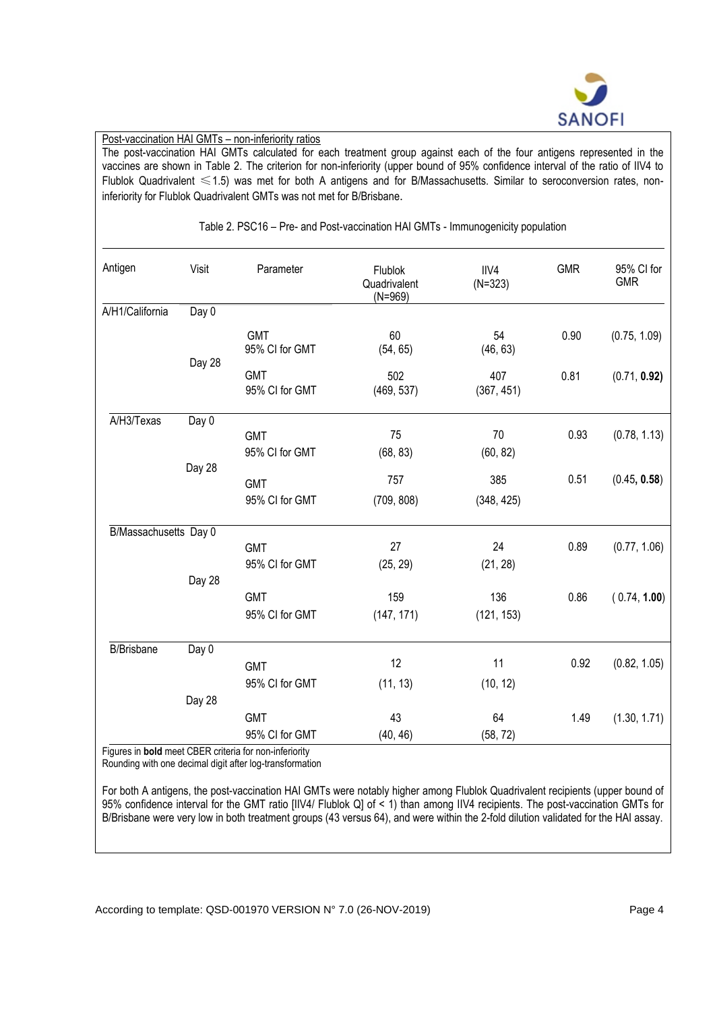

### Post-vaccination HAI GMTs – non-inferiority ratios

The post-vaccination HAI GMTs calculated for each treatment group against each of the four antigens represented in the vaccines are shown in Table 2. The criterion for non-inferiority (upper bound of 95% confidence interval of the ratio of IIV4 to Flublok Quadrivalent ≤1.5) was met for both A antigens and for B/Massachusetts. Similar to seroconversion rates, noninferiority for Flublok Quadrivalent GMTs was not met for B/Brisbane.

| Antigen               | Visit  | Parameter                                                                | Flublok<br>Quadrivalent<br>$(N=969)$ | IIV4<br>$(N=323)$ | <b>GMR</b> | 95% CI for<br><b>GMR</b> |
|-----------------------|--------|--------------------------------------------------------------------------|--------------------------------------|-------------------|------------|--------------------------|
| A/H1/California       | Day 0  |                                                                          |                                      |                   |            |                          |
|                       | Day 28 | <b>GMT</b><br>95% CI for GMT                                             | 60<br>(54, 65)                       | 54<br>(46, 63)    | 0.90       | (0.75, 1.09)             |
|                       |        | <b>GMT</b><br>95% CI for GMT                                             | 502<br>(469, 537)                    | 407<br>(367, 451) | 0.81       | (0.71, 0.92)             |
| A/H3/Texas            | Day 0  |                                                                          |                                      |                   |            |                          |
|                       |        | <b>GMT</b><br>95% CI for GMT                                             | 75<br>(68, 83)                       | 70<br>(60, 82)    | 0.93       | (0.78, 1.13)             |
|                       | Day 28 | <b>GMT</b>                                                               | 757                                  | 385               | 0.51       | (0.45, 0.58)             |
|                       |        | 95% CI for GMT                                                           | (709, 808)                           | (348, 425)        |            |                          |
| B/Massachusetts Day 0 |        |                                                                          |                                      |                   |            |                          |
|                       |        | <b>GMT</b>                                                               | 27                                   | 24                | 0.89       | (0.77, 1.06)             |
|                       | Day 28 | 95% CI for GMT                                                           | (25, 29)                             | (21, 28)          |            |                          |
|                       |        | <b>GMT</b>                                                               | 159                                  | 136               | 0.86       | (0.74, 1.00)             |
|                       |        | 95% CI for GMT                                                           | (147, 171)                           | (121, 153)        |            |                          |
| <b>B/Brisbane</b>     | Day 0  |                                                                          |                                      |                   |            |                          |
|                       |        | <b>GMT</b>                                                               | 12                                   | 11                | 0.92       | (0.82, 1.05)             |
|                       |        | 95% CI for GMT                                                           | (11, 13)                             | (10, 12)          |            |                          |
|                       | Day 28 |                                                                          |                                      |                   |            |                          |
|                       |        | <b>GMT</b>                                                               | 43                                   | 64                | 1.49       | (1.30, 1.71)             |
|                       |        | 95% CI for GMT<br>Eigurea in hald most CDED exiteria for non inforiarity | (40, 46)                             | (58, 72)          |            |                          |

Table 2. PSC16 – Pre- and Post-vaccination HAI GMTs - Immunogenicity population

Figures in **bold** meet CBER criteria for non-inferiority

Rounding with one decimal digit after log-transformation

For both A antigens, the post-vaccination HAI GMTs were notably higher among Flublok Quadrivalent recipients (upper bound of 95% confidence interval for the GMT ratio [IIV4/ Flublok Q] of < 1) than among IIV4 recipients. The post-vaccination GMTs for B/Brisbane were very low in both treatment groups (43 versus 64), and were within the 2-fold dilution validated for the HAI assay.

According to template: QSD-001970 VERSION N° 7.0 (26-NOV-2019) Page 4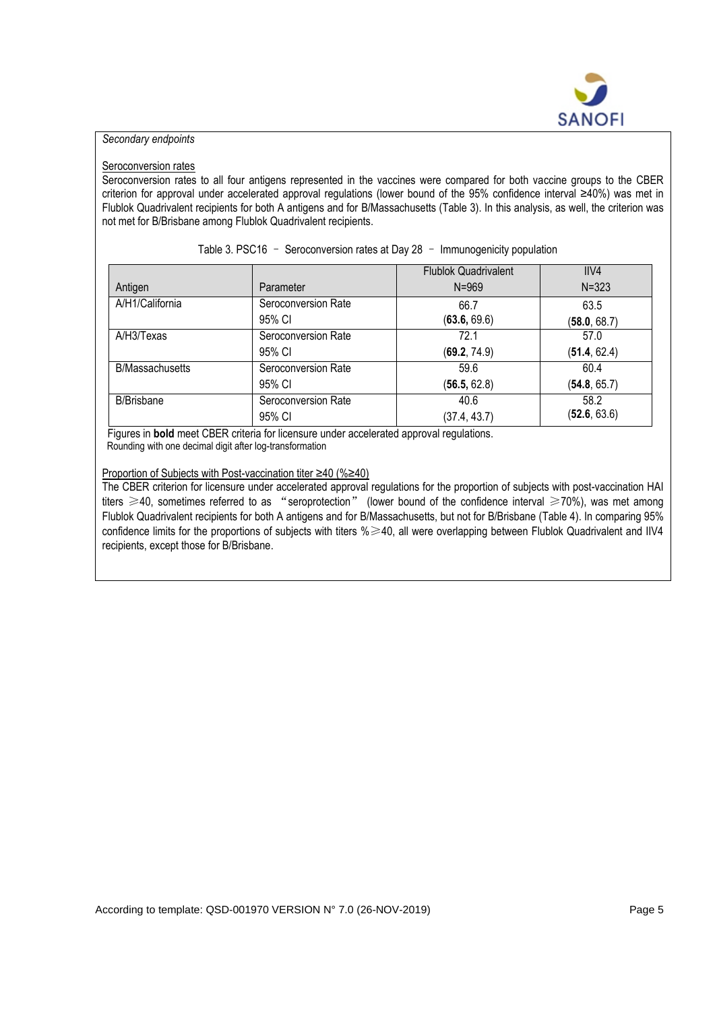

# *Secondary endpoints*

#### Seroconversion rates

Seroconversion rates to all four antigens represented in the vaccines were compared for both vaccine groups to the CBER criterion for approval under accelerated approval regulations (lower bound of the 95% confidence interval ≥40%) was met in Flublok Quadrivalent recipients for both A antigens and for B/Massachusetts (Table 3). In this analysis, as well, the criterion was not met for B/Brisbane among Flublok Quadrivalent recipients.

|                        |                     | <b>Flublok Quadrivalent</b> | IIVA         |
|------------------------|---------------------|-----------------------------|--------------|
| Antigen                | Parameter           | $N = 969$                   | $N = 323$    |
| A/H1/California        | Seroconversion Rate | 66.7                        | 63.5         |
|                        | 95% CI              | (63.6, 69.6)                | (58.0, 68.7) |
| A/H3/Texas             | Seroconversion Rate | 72.1                        | 57.0         |
|                        | 95% CI              | (69.2, 74.9)                | (51.4, 62.4) |
| <b>B/Massachusetts</b> | Seroconversion Rate | 59.6                        | 60.4         |
|                        | 95% CI              | (56.5, 62.8)                | (54.8, 65.7) |
| <b>B/Brisbane</b>      | Seroconversion Rate | 40.6                        | 58.2         |
|                        | 95% CI              | (37.4, 43.7)                | (52.6, 63.6) |

Table 3. PSC16 – Seroconversion rates at Day 28 – Immunogenicity population

 Figures in **bold** meet CBER criteria for licensure under accelerated approval regulations. Rounding with one decimal digit after log-transformation

#### Proportion of Subjects with Post-vaccination titer ≥40 (%≥40)

The CBER criterion for licensure under accelerated approval regulations for the proportion of subjects with post-vaccination HAI titers ≥40, sometimes referred to as "seroprotection" (lower bound of the confidence interval ≥70%), was met among Flublok Quadrivalent recipients for both A antigens and for B/Massachusetts, but not for B/Brisbane (Table 4). In comparing 95% confidence limits for the proportions of subjects with titers %≥40, all were overlapping between Flublok Quadrivalent and IIV4 recipients, except those for B/Brisbane.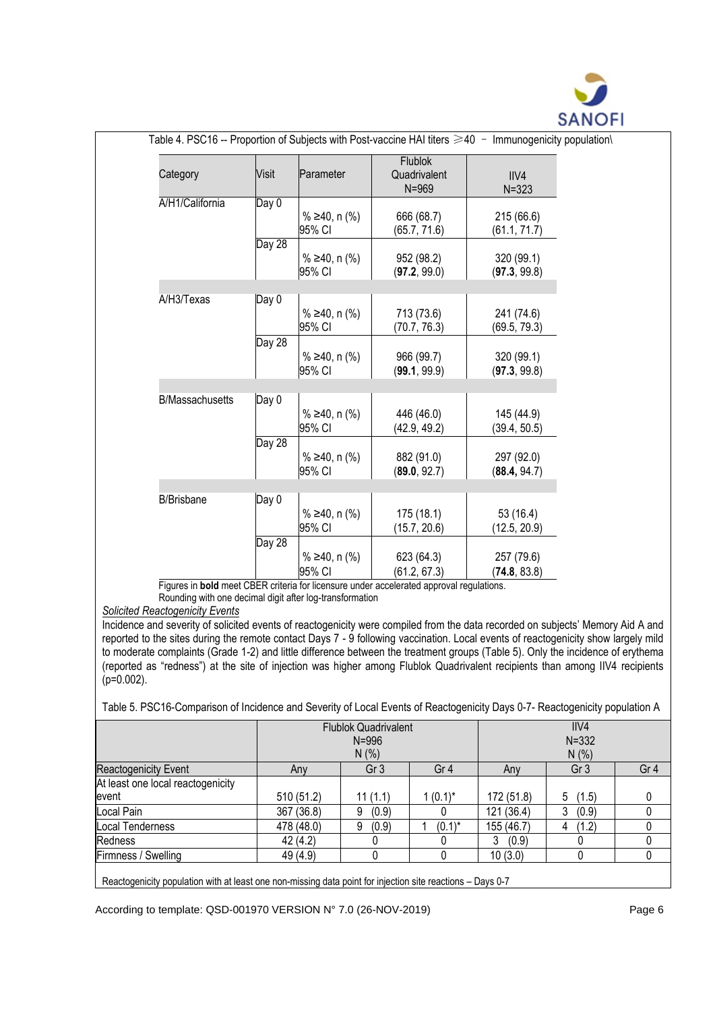

| Category               | Visit  | Parameter                          | <b>Flublok</b><br>Quadrivalent<br>$N = 969$ | IIV4<br>$N = 323$          |
|------------------------|--------|------------------------------------|---------------------------------------------|----------------------------|
| A/H1/California        | Day 0  | % ≥40, n $(\%$ )<br>95% CI         | 666 (68.7)<br>(65.7, 71.6)                  | 215 (66.6)<br>(61.1, 71.7) |
|                        | Day 28 | % ≥40, n $(\%$ )<br>95% CI         | 952 (98.2)<br>(97.2, 99.0)                  | 320 (99.1)<br>(97.3, 99.8) |
|                        |        |                                    |                                             |                            |
| A/H3/Texas             | Day 0  | % ≥40, n $(\%$ )<br>95% CI         | 713 (73.6)<br>(70.7, 76.3)                  | 241 (74.6)<br>(69.5, 79.3) |
|                        | Day 28 | % ≥40, n $\frac{9}{6}$ )<br>95% CI | 966 (99.7)<br>(99.1, 99.9)                  | 320 (99.1)<br>(97.3, 99.8) |
|                        |        |                                    |                                             |                            |
| <b>B/Massachusetts</b> | Day 0  | % ≥40, n $(\%$ )<br>95% CI         | 446 (46.0)<br>(42.9, 49.2)                  | 145 (44.9)<br>(39.4, 50.5) |
|                        | Day 28 | % ≥40, n $\frac{9}{6}$ )<br>95% CI | 882 (91.0)<br>(89.0, 92.7)                  | 297 (92.0)<br>(88.4, 94.7) |
|                        |        |                                    |                                             |                            |
| <b>B/Brisbane</b>      | Day 0  | % ≥40, n $(\%$ )<br>95% CI         | 175(18.1)<br>(15.7, 20.6)                   | 53 (16.4)<br>(12.5, 20.9)  |
|                        | Day 28 | % ≥40, n $(\%$ )                   | 623 (64.3)                                  | 257 (79.6)                 |

Rounding with one decimal digit after log-transformation

*Solicited Reactogenicity Events*

Incidence and severity of solicited events of reactogenicity were compiled from the data recorded on subjects' Memory Aid A and reported to the sites during the remote contact Days 7 - 9 following vaccination. Local events of reactogenicity show largely mild to moderate complaints (Grade 1-2) and little difference between the treatment groups (Table 5). Only the incidence of erythema (reported as "redness") at the site of injection was higher among Flublok Quadrivalent recipients than among IIV4 recipients (p=0.002).

Table 5. PSC16-Comparison of Incidence and Severity of Local Events of Reactogenicity Days 0-7- Reactogenicity population A

|                                            |            | <b>Flublok Quadrivalent</b><br>$N = 996$<br>N(% ) |                 | IIVA<br>$N = 332$<br>N(% ) |                 |                 |
|--------------------------------------------|------------|---------------------------------------------------|-----------------|----------------------------|-----------------|-----------------|
| Reactogenicity Event                       | Any        | Gr <sub>3</sub>                                   | Gr <sub>4</sub> | Anv                        | Gr <sub>3</sub> | Gr <sub>4</sub> |
| At least one local reactogenicity<br>event | 510 (51.2) | 11(1.1)                                           | $1(0.1)^{*}$    | 172 (51.8)                 | 5<br>(1.5)      | 0               |
| Local Pain                                 | 367 (36.8) | (0.9)<br>9                                        |                 | 121 (36.4)                 | 3<br>(0.9)      |                 |
| Local Tenderness                           | 478 (48.0) | (0.9)<br>9                                        | $(0.1)^*$       | 155 (46.7)                 | (1.2)<br>4      |                 |
| Redness                                    | 42(4.2)    |                                                   |                 | 3<br>(0.9)                 |                 |                 |
| Firmness / Swelling                        | 49 (4.9)   |                                                   |                 | 10(3.0)                    |                 |                 |
|                                            |            |                                                   |                 |                            |                 |                 |

Reactogenicity population with at least one non-missing data point for injection site reactions – Days 0-7

According to template: QSD-001970 VERSION N° 7.0 (26-NOV-2019) Page 6